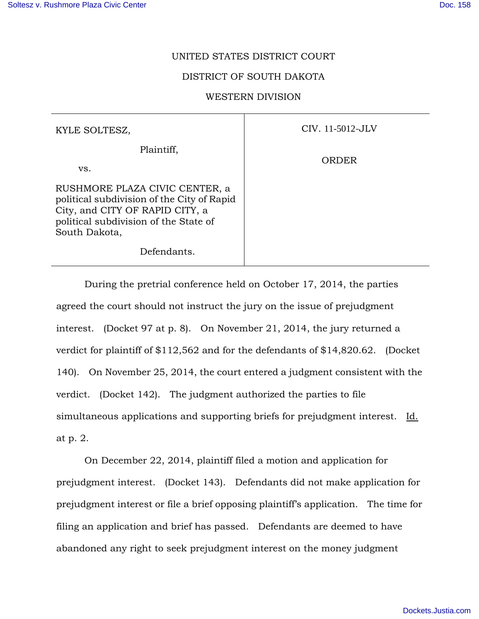## UNITED STATES DISTRICT COURT

## DISTRICT OF SOUTH DAKOTA

## WESTERN DIVISION

CIV. 11-5012-JLV

ORDER

| KYLE SOLTESZ,                                                                                                                                                             |  |
|---------------------------------------------------------------------------------------------------------------------------------------------------------------------------|--|
| Plaintiff,                                                                                                                                                                |  |
| VS.                                                                                                                                                                       |  |
| RUSHMORE PLAZA CIVIC CENTER, a<br>political subdivision of the City of Rapid<br>City, and CITY OF RAPID CITY, a<br>political subdivision of the State of<br>South Dakota, |  |

Defendants.

 During the pretrial conference held on October 17, 2014, the parties agreed the court should not instruct the jury on the issue of prejudgment interest. (Docket 97 at p. 8). On November 21, 2014, the jury returned a verdict for plaintiff of \$112,562 and for the defendants of \$14,820.62. (Docket 140). On November 25, 2014, the court entered a judgment consistent with the verdict. (Docket 142). The judgment authorized the parties to file simultaneous applications and supporting briefs for prejudgment interest. Id. at p. 2.

 On December 22, 2014, plaintiff filed a motion and application for prejudgment interest. (Docket 143). Defendants did not make application for prejudgment interest or file a brief opposing plaintiff's application. The time for filing an application and brief has passed. Defendants are deemed to have abandoned any right to seek prejudgment interest on the money judgment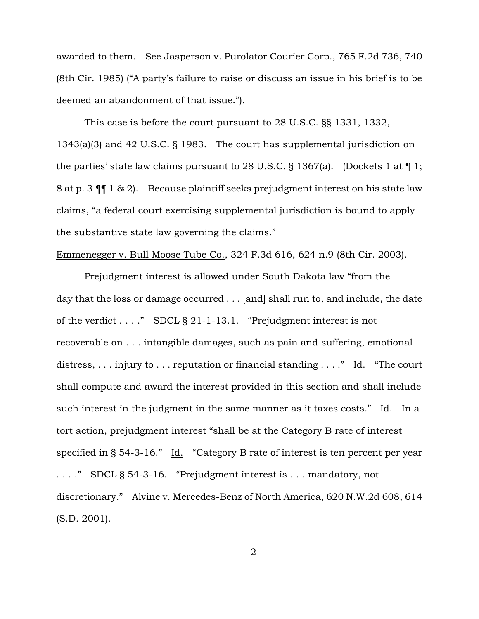awarded to them. See Jasperson v. Purolator Courier Corp., 765 F.2d 736, 740 (8th Cir. 1985) ("A party's failure to raise or discuss an issue in his brief is to be deemed an abandonment of that issue.").

 This case is before the court pursuant to 28 U.S.C. §§ 1331, 1332, 1343(a)(3) and 42 U.S.C. § 1983. The court has supplemental jurisdiction on the parties' state law claims pursuant to 28 U.S.C. § 1367(a). (Dockets 1 at  $\P$  1; 8 at p. 3 ¶¶ 1 & 2). Because plaintiff seeks prejudgment interest on his state law claims, "a federal court exercising supplemental jurisdiction is bound to apply the substantive state law governing the claims."

## Emmenegger v. Bull Moose Tube Co., 324 F.3d 616, 624 n.9 (8th Cir. 2003).

 Prejudgment interest is allowed under South Dakota law "from the day that the loss or damage occurred . . . [and] shall run to, and include, the date of the verdict . . . ." SDCL § 21-1-13.1. "Prejudgment interest is not recoverable on . . . intangible damages, such as pain and suffering, emotional distress, ... injury to ... reputation or financial standing ...." Id. "The court shall compute and award the interest provided in this section and shall include such interest in the judgment in the same manner as it taxes costs." Id. In a tort action, prejudgment interest "shall be at the Category B rate of interest specified in § 54-3-16." Id. "Category B rate of interest is ten percent per year . . . ." SDCL § 54-3-16. "Prejudgment interest is . . . mandatory, not discretionary." Alvine v. Mercedes-Benz of North America, 620 N.W.2d 608, 614 (S.D. 2001).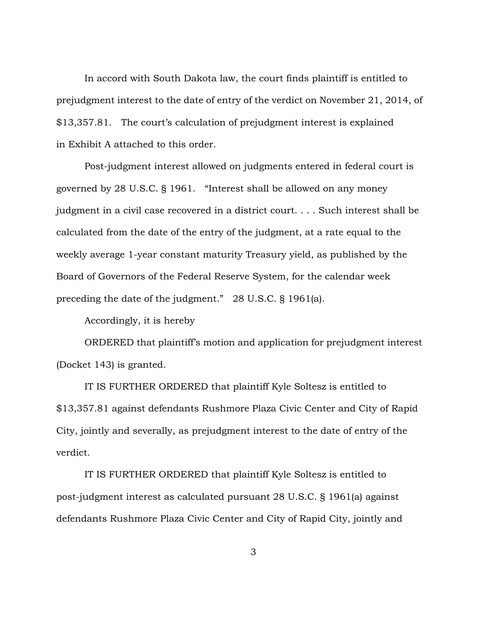In accord with South Dakota law, the court finds plaintiff is entitled to prejudgment interest to the date of entry of the verdict on November 21, 2014, of \$13,357.81. The court's calculation of prejudgment interest is explained in Exhibit A attached to this order.

 Post-judgment interest allowed on judgments entered in federal court is governed by 28 U.S.C. § 1961. "Interest shall be allowed on any money judgment in a civil case recovered in a district court. . . . Such interest shall be calculated from the date of the entry of the judgment, at a rate equal to the weekly average 1-year constant maturity Treasury yield, as published by the Board of Governors of the Federal Reserve System, for the calendar week preceding the date of the judgment." 28 U.S.C. § 1961(a).

Accordingly, it is hereby

ORDERED that plaintiff's motion and application for prejudgment interest (Docket 143) is granted.

IT IS FURTHER ORDERED that plaintiff Kyle Soltesz is entitled to \$13,357.81 against defendants Rushmore Plaza Civic Center and City of Rapid City, jointly and severally, as prejudgment interest to the date of entry of the verdict.

IT IS FURTHER ORDERED that plaintiff Kyle Soltesz is entitled to post-judgment interest as calculated pursuant 28 U.S.C. § 1961(a) against defendants Rushmore Plaza Civic Center and City of Rapid City, jointly and

3